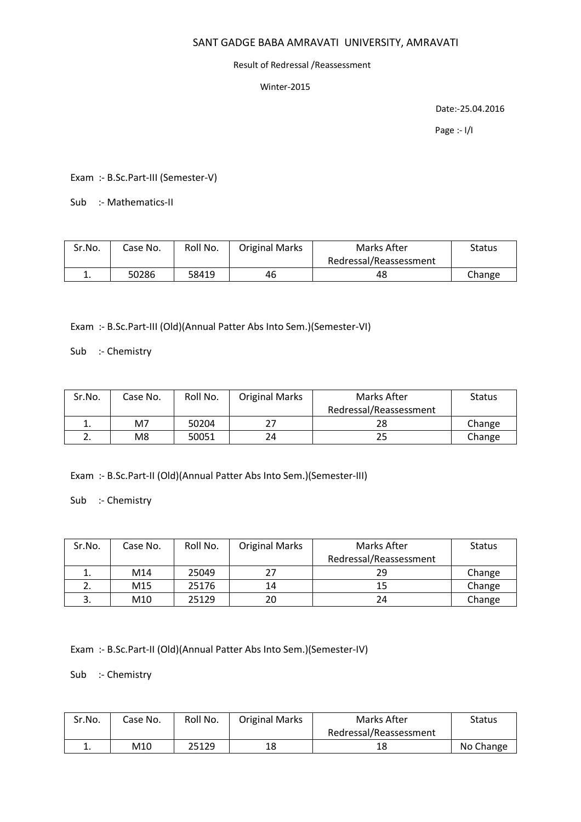#### Result of Redressal /Reassessment

Winter-2015

Date:-25.04.2016

Page :- I/I

Exam :- B.Sc.Part-III (Semester-V)

Sub :- Mathematics-II

| Sr.No. | Case No. | Roll No. | <b>Original Marks</b> | Marks After            | Status |
|--------|----------|----------|-----------------------|------------------------|--------|
|        |          |          |                       | Redressal/Reassessment |        |
| . .    | 50286    | 58419    | 46                    | 48                     | Change |

Exam :- B.Sc.Part-III (Old)(Annual Patter Abs Into Sem.)(Semester-VI)

Sub :- Chemistry

| Sr.No.      | Case No. | Roll No. | <b>Original Marks</b> | Marks After            | <b>Status</b> |
|-------------|----------|----------|-----------------------|------------------------|---------------|
|             |          |          |                       | Redressal/Reassessment |               |
| ∸.          | M7       | 50204    |                       | 28                     | Change        |
| <u>. . </u> | M8       | 50051    | 24                    | 25                     | Change        |

Exam :- B.Sc.Part-II (Old)(Annual Patter Abs Into Sem.)(Semester-III)

Sub :- Chemistry

| Sr.No. | Case No. | Roll No. | <b>Original Marks</b> | Marks After            | <b>Status</b> |
|--------|----------|----------|-----------------------|------------------------|---------------|
|        |          |          |                       | Redressal/Reassessment |               |
| ∸.     | M14      | 25049    | 27                    | 29                     | Change        |
|        | M15      | 25176    | 14                    | 15                     | Change        |
|        | M10      | 25129    | 20                    | 24                     | Change        |

Exam :- B.Sc.Part-II (Old)(Annual Patter Abs Into Sem.)(Semester-IV)

Sub :- Chemistry

| Sr.No. | Case No. | Roll No. | <b>Original Marks</b> | Marks After            | Status    |
|--------|----------|----------|-----------------------|------------------------|-----------|
|        |          |          |                       | Redressal/Reassessment |           |
| ᆠ.     | M10      | 25129    | 18                    | 18                     | No Change |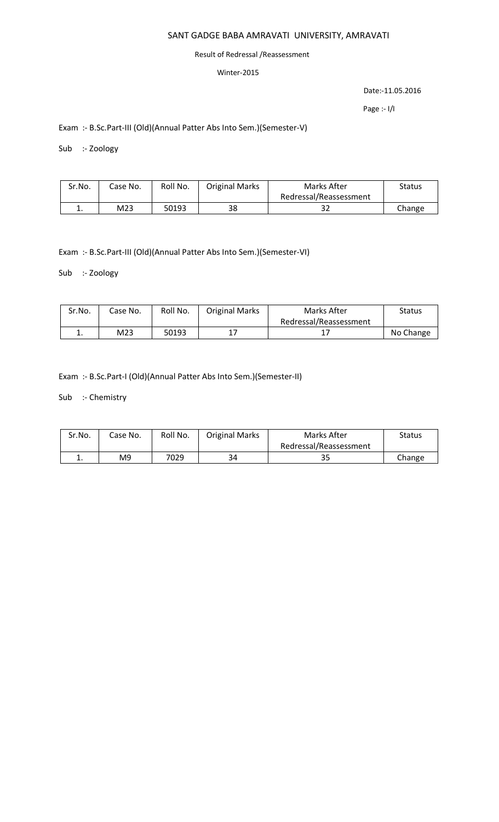#### Result of Redressal /Reassessment

## Winter-2015

Date:-11.05.2016

Page :- I/I

Exam :- B.Sc.Part-III (Old)(Annual Patter Abs Into Sem.)(Semester-V)

Sub :- Zoology

| Sr.No. | Case No. | Roll No. | <b>Original Marks</b> | Marks After            | Status |
|--------|----------|----------|-----------------------|------------------------|--------|
|        |          |          |                       | Redressal/Reassessment |        |
|        | M23      | 50193    | 38                    | 32                     | Change |

Exam :- B.Sc.Part-III (Old)(Annual Patter Abs Into Sem.)(Semester-VI)

Sub :- Zoology

| Sr.No. | Case No. | Roll No. | <b>Original Marks</b> | Marks After            | <b>Status</b> |
|--------|----------|----------|-----------------------|------------------------|---------------|
|        |          |          |                       | Redressal/Reassessment |               |
| . .    | M23      | 50193    |                       |                        | No Change     |

Exam :- B.Sc.Part-I (Old)(Annual Patter Abs Into Sem.)(Semester-II)

Sub :- Chemistry

| Sr.No. | Case No. | Roll No. | <b>Original Marks</b> | Marks After            | <b>Status</b> |
|--------|----------|----------|-----------------------|------------------------|---------------|
|        |          |          |                       | Redressal/Reassessment |               |
| . .    | M9       | 7029     | 34                    | 35                     | Change        |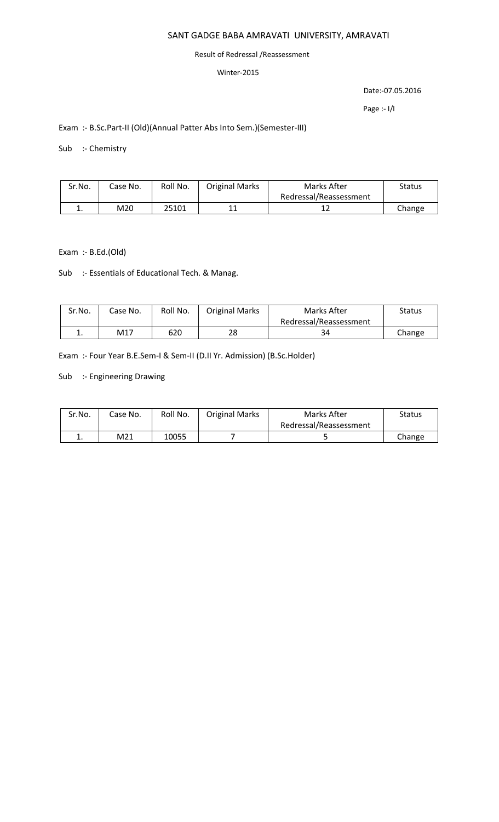#### Result of Redressal /Reassessment

## Winter-2015

Date:-07.05.2016

Page :- I/I

# Exam :- B.Sc.Part-II (Old)(Annual Patter Abs Into Sem.)(Semester-III)

Sub :- Chemistry

| Sr.No. | Case No. | Roll No. | <b>Original Marks</b> | Marks After            | Status |
|--------|----------|----------|-----------------------|------------------------|--------|
|        |          |          |                       | Redressal/Reassessment |        |
|        | M20      | 25101    | 11                    |                        | Change |

Exam :- B.Ed.(Old)

Sub :- Essentials of Educational Tech. & Manag.

| Sr.No.   | Case No. | Roll No. | <b>Original Marks</b> | Marks After            | Status |
|----------|----------|----------|-----------------------|------------------------|--------|
|          |          |          |                       | Redressal/Reassessment |        |
| <b>.</b> | M17      | 620      | 28                    | 34                     | Change |

Exam :- Four Year B.E.Sem-I & Sem-II (D.II Yr. Admission) (B.Sc.Holder)

Sub :- Engineering Drawing

| Sr.No. | Case No. | Roll No. | <b>Original Marks</b> | Marks After            | Status |
|--------|----------|----------|-----------------------|------------------------|--------|
|        |          |          |                       | Redressal/Reassessment |        |
| . .    | M21      | 10055    |                       |                        | Change |